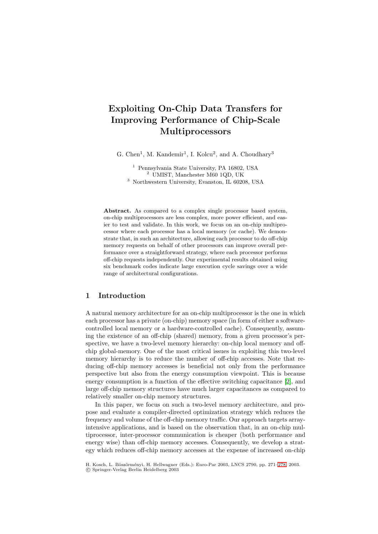# **Exploiting On-Chip Data Transfers for Improving Performance of Chip-Scale Multiprocessors**

G. Chen<sup>1</sup>, M. Kandemir<sup>1</sup>, I. Kolcu<sup>2</sup>, and A. Choudhary<sup>3</sup>

<sup>1</sup> Pennsylvania State University, PA 16802, USA <sup>2</sup> UMIST, Manchester M60 1QD, UK <sup>3</sup> Northwestern University, Evanston, IL 60208, USA

**Abstract.** As compared to a complex single processor based system, on-chip multiprocessors are less complex, more power efficient, and easier to test and validate. In this work, we focus on an on-chip multiprocessor where each processor has a local memory (or cache). We demonstrate that, in such an architecture, allowing each processor to do off-chip memory requests on behalf of other processors can improve overall performance over a straightforward strategy, where each processor performs off-chip requests independently. Our experimental results obtained using six benchmark codes indicate large execution cycle savings over a wide range of architectural configurations.

### **1 Introduction**

A natural memory architecture for an on-chip multiprocessor is the one in which each processor has a private (on-chip) memory space (in form of either a softwarecontrolled local memory or a hardware-controlled cache). Consequently, assuming the existence of an off-chip (shared) memory, from a given processor's perspective, we have a two-level memory hierarchy: on-chip local memory and offchip global-memory. One of the most critical issues in exploiting this two-level memory hierarchy is to reduce the number of off-chip accesses. Note that reducing off-chip memory accesses is beneficial not only from the performance perspective but also from the energy consumption viewpoint. This is because energy consumption is a function of the effective switching capacitance [\[2\]](#page-7-0), and large off-chip memory structures have much larger capacitances as compared to relatively smaller on-chip memory structures.

In this paper, we focus on such a two-level memory architecture, and propose and evaluate a compiler-directed optimization strategy which reduces the frequency and volume of the off-chip memory traffic. Our approach targets arrayintensive applications, and is based on the observation that, in an on-chip multiprocessor, inter-processor communication is cheaper (both performance and energy wise) than off-chip memory accesses. Consequently, we develop a strategy which reduces off-chip memory accesses at the expense of increased on-chip

H. Kosch, L. Böszörményi, H. Hellwagner (Eds.): Euro-Par 2003, LNCS 2790, pp. 271[–278,](#page-6-0) 2003. c Springer-Verlag Berlin Heidelberg 2003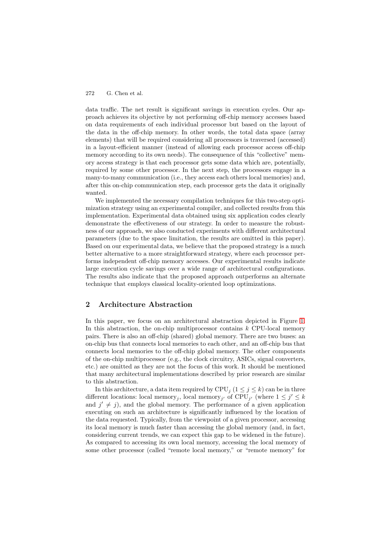data traffic. The net result is significant savings in execution cycles. Our approach achieves its objective by not performing off-chip memory accesses based on data requirements of each individual processor but based on the layout of the data in the off-chip memory. In other words, the total data space (array elements) that will be required considering all processors is traversed (accessed) in a layout-efficient manner (instead of allowing each processor access off-chip memory according to its own needs). The consequence of this "collective" memory access strategy is that each processor gets some data which are, potentially, required by some other processor. In the next step, the processors engage in a many-to-many communication (i.e., they access each others local memories) and, after this on-chip communication step, each processor gets the data it originally wanted.

We implemented the necessary compilation techniques for this two-step optimization strategy using an experimental compiler, and collected results from this implementation. Experimental data obtained using six application codes clearly demonstrate the effectiveness of our strategy. In order to measure the robustness of our approach, we also conducted experiments with different architectural parameters (due to the space limitation, the results are omitted in this paper). Based on our experimental data, we believe that the proposed strategy is a much better alternative to a more straightforward strategy, where each processor performs independent off-chip memory accesses. Our experimental results indicate large execution cycle savings over a wide range of architectural configurations. The results also indicate that the proposed approach outperforms an alternate technique that employs classical locality-oriented loop optimizations.

## **2 Architecture Abstraction**

In this paper, we focus on an architectural abstraction depicted in Figure [1.](#page-2-0) In this abstraction, the on-chip multiprocessor contains  $k$  CPU-local memory pairs. There is also an off-chip (shared) global memory. There are two buses: an on-chip bus that connects local memories to each other, and an off-chip bus that connects local memories to the off-chip global memory. The other components of the on-chip multiprocessor  $(e.g., the clock circuitry, ASICs, signal converges,$ etc.) are omitted as they are not the focus of this work. It should be mentioned that many architectural implementations described by prior research are similar to this abstraction.

In this architecture, a data item required by  $\text{CPU}_j$   $(1 \leq j \leq k)$  can be in three different locations: local memory<sub>j</sub>, local memory<sub>j</sub><sup>*,*</sup> of CPU<sub>j<sup>*'*</sup></sup> (where  $1 \leq j' \leq k$ </sub> and  $j' \neq j$ , and the global memory. The performance of a given application executing on such an architecture is significantly influenced by the location of the data requested. Typically, from the viewpoint of a given processor, accessing its local memory is much faster than accessing the global memory (and, in fact, considering current trends, we can expect this gap to be widened in the future). As compared to accessing its own local memory, accessing the local memory of some other processor (called "remote local memory," or "remote memory" for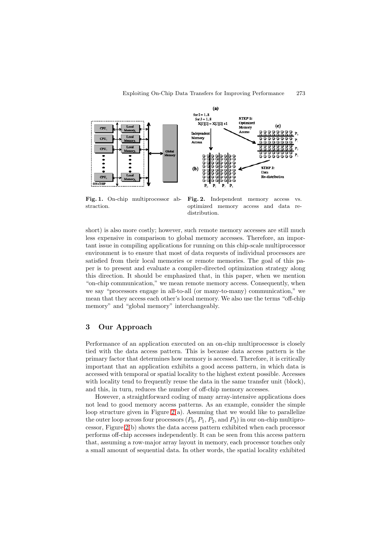<span id="page-2-0"></span>

**Fig. 1.** On-chip multiprocessor abstraction.



Fig. 2. Independent memory access vs.<br>optimized memory access and data reoptimized memory access distribution.

short) is also more costly; however, such remote memory accesses are still much less expensive in comparison to global memory accesses. Therefore, an important issue in compiling applications for running on this chip-scale multiprocessor environment is to ensure that most of data requests of individual processors are satisfied from their local memories or remote memories. The goal of this paper is to present and evaluate a compiler-directed optimization strategy along this direction. It should be emphasized that, in this paper, when we mention "on-chip communication," we mean remote memory access. Consequently, when we say "processors engage in all-to-all (or many-to-many) communication," we mean that they access each other's local memory. We also use the terms "off-chip memory" and "global memory" interchangeably.

## **3 Our Approach**

Performance of an application executed on an on-chip multiprocessor is closely tied with the data access pattern. This is because data access pattern is the primary factor that determines how memory is accessed. Therefore, it is critically important that an application exhibits a good access pattern, in which data is accessed with temporal or spatial locality to the highest extent possible. Accesses with locality tend to frequently reuse the data in the same transfer unit (block), and this, in turn, reduces the number of off-chip memory accesses.

However, a straightforward coding of many array-intensive applications does not lead to good memory access patterns. As an example, consider the simple loop structure given in Figure  $2(a)$ . Assuming that we would like to parallelize the outer loop across four processors  $(P_0, P_1, P_2, \text{ and } P_3)$  in our on-chip multiprocessor, Figure 2(b) shows the data access pattern exhibited when each processor performs off-chip accesses independently. It can be seen from this access pattern that, assuming a row-major array layout in memory, each processor touches only a small amount of sequential data. In other words, the spatial locality exhibited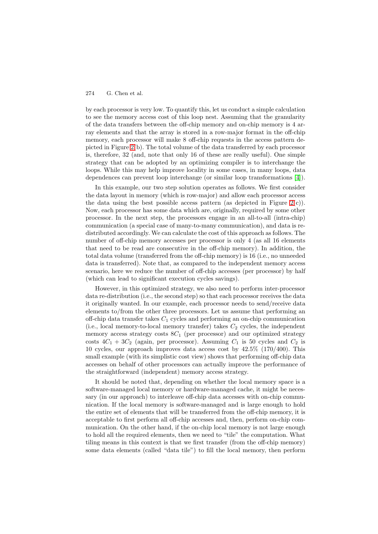by each processor is very low. To quantify this, let us conduct a simple calculation to see the memory access cost of this loop nest. Assuming that the granularity of the data transfers between the off-chip memory and on-chip memory is 4 array elements and that the array is stored in a row-major format in the off-chip memory, each processor will make 8 off-chip requests in the access pattern depicted in Figure [2\(](#page-2-0)b). The total volume of the data transferred by each processor is, therefore, 32 (and, note that only 16 of these are really useful). One simple strategy that can be adopted by an optimizing compiler is to interchange the loops. While this may help improve locality in some cases, in many loops, data dependences can prevent loop interchange (or similar loop transformations [\[4\]](#page-7-0)).

In this example, our two step solution operates as follows. We first consider the data layout in memory (which is row-major) and allow each processor access the data using the best possible access pattern (as depicted in Figure  $2(c)$ ). Now, each processor has some data which are, originally, required by some other processor. In the next step, the processors engage in an all-to-all (intra-chip) communication (a special case of many-to-many communication), and data is redistributed accordingly. We can calculate the cost of this approach as follows. The number of off-chip memory accesses per processor is only 4 (as all 16 elements that need to be read are consecutive in the off-chip memory). In addition, the total data volume (transferred from the off-chip memory) is 16 (i.e., no unneeded data is transferred). Note that, as compared to the independent memory access scenario, here we reduce the number of off-chip accesses (per processor) by half (which can lead to significant execution cycles savings).

However, in this optimized strategy, we also need to perform inter-processor data re-distribution (i.e., the second step) so that each processor receives the data it originally wanted. In our example, each processor needs to send/receive data elements to/from the other three processors. Let us assume that performing an off-chip data transfer takes  $C_1$  cycles and performing an on-chip communication (i.e., local memory-to-local memory transfer) takes  $C_2$  cycles, the independent memory access strategy costs  $8C<sub>1</sub>$  (per processor) and our optimized strategy costs  $4C_1 + 3C_2$  (again, per processor). Assuming  $C_1$  is 50 cycles and  $C_2$  is 10 cycles, our approach improves data access cost by 42.5% (170/400). This small example (with its simplistic cost view) shows that performing off-chip data accesses on behalf of other processors can actually improve the performance of the straightforward (independent) memory access strategy.

It should be noted that, depending on whether the local memory space is a software-managed local memory or hardware-managed cache, it might be necessary (in our approach) to interleave off-chip data accesses with on-chip communication. If the local memory is software-managed and is large enough to hold the entire set of elements that will be transferred from the off-chip memory, it is acceptable to first perform all off-chip accesses and, then, perform on-chip communication. On the other hand, if the on-chip local memory is not large enough to hold all the required elements, then we need to "tile" the computation. What tiling means in this context is that we first transfer (from the off-chip memory) some data elements (called "data tile") to fill the local memory, then perform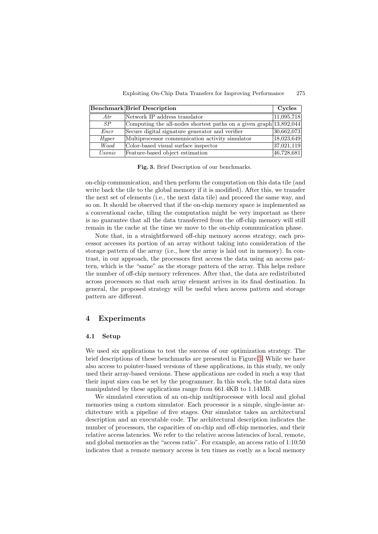<span id="page-4-0"></span>

|        | <b>Benchmark Brief Description</b>                                 | Cycles               |
|--------|--------------------------------------------------------------------|----------------------|
| Arr    | Network IP address translator                                      | 11,095,718           |
| SP     | Computing the all-nodes shortest paths on a given graph 13,892,044 |                      |
| Encr   | Secure digital signature generator and verifier                    | 30,662,073           |
| Hyper  | Multiprocessor communication activity simulator                    | 18,023,649           |
| Wood   | Color-based visual surface inspector                               | $ 37,021,119\rangle$ |
| Usonic | Feature-based object estimation                                    | 46,728,681           |

**Fig. 3.** Brief Description of our benchmarks.

on-chip communication, and then perform the computation on this data tile (and write back the tile to the global memory if it is modified). After this, we transfer the next set of elements (i.e., the next data tile) and proceed the same way, and so on. It should be observed that if the on-chip memory space is implemented as a conventional cache, tiling the computation might be very important as there is no guarantee that all the data transferred from the off-chip memory will still remain in the cache at the time we move to the on-chip communication phase.

Note that, in a straightforward off-chip memory access strategy, each processor accesses its portion of an array without taking into consideration of the storage pattern of the array (i.e., how the array is laid out in memory). In contrast, in our approach, the processors first access the data using an access pattern, which is the "same" as the storage pattern of the array. This helps reduce the number of off-chip memory references. After that, the data are redistributed across processors so that each array element arrives in its final destination. In general, the proposed strategy will be useful when access pattern and storage pattern are different.

#### **4 Experiments**

#### **4.1 Setup**

We used six applications to test the success of our optimization strategy. The brief descriptions of these benchmarks are presented in Figure 3. While we have also access to pointer-based versions of these applications, in this study, we only used their array-based versions. These applications are coded in such a way that their input sizes can be set by the programmer. In this work, the total data sizes manipulated by these applications range from 661.4KB to 1.14MB.

We simulated execution of an on-chip multiprocessor with local and global memories using a custom simulator. Each processor is a simple, single-issue architecture with a pipeline of five stages. Our simulator takes an architectural description and an executable code. The architectural description indicates the number of processors, the capacities of on-chip and off-chip memories, and their relative access latencies. We refer to the relative access latencies of local, remote, and global memories as the "access ratio". For example, an access ratio of 1:10:50 indicates that a remote memory access is ten times as costly as a local memory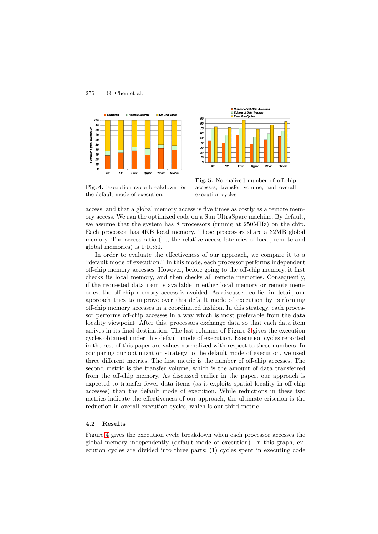<span id="page-5-0"></span>

**Fig. 4.** Execution cycle breakdown for the default mode of execution.



**Fig. 5.** Normalized number of off-chip accesses, transfer volume, and overall execution cycles.

access, and that a global memory access is five times as costly as a remote memory access. We ran the optimized code on a Sun UltraSparc machine. By default, we assume that the system has 8 processors (runnig at 250MHz) on the chip. Each processor has 4KB local memory. These processors share a 32MB global memory. The access ratio (i.e, the relative access latencies of local, remote and global memories) is 1:10:50.

In order to evaluate the effectiveness of our approach, we compare it to a "default mode of execution." In this mode, each processor performs independent off-chip memory accesses. However, before going to the off-chip memory, it first checks its local memory, and then checks all remote memories. Consequently, if the requested data item is available in either local memory or remote memories, the off-chip memory access is avoided. As discussed earlier in detail, our approach tries to improve over this default mode of execution by performing off-chip memory accesses in a coordinated fashion. In this strategy, each processor performs off-chip accesses in a way which is most preferable from the data locality viewpoint. After this, processors exchange data so that each data item arrives in its final destination. The last columns of Figure [3](#page-4-0) gives the execution cycles obtained under this default mode of execution. Execution cycles reported in the rest of this paper are values normalized with respect to these numbers. In comparing our optimization strategy to the default mode of execution, we used three different metrics. The first metric is the number of off-chip accesses. The second metric is the transfer volume, which is the amount of data transferred from the off-chip memory. As discussed earlier in the paper, our approach is expected to transfer fewer data items (as it exploits spatial locality in off-chip accesses) than the default mode of execution. While reductions in these two metrics indicate the effectiveness of our approach, the ultimate criterion is the reduction in overall execution cycles, which is our third metric.

#### **4.2 Results**

Figure 4 gives the execution cycle breakdown when each processor accesses the global memory independently (default mode of execution). In this graph, execution cycles are divided into three parts: (1) cycles spent in executing code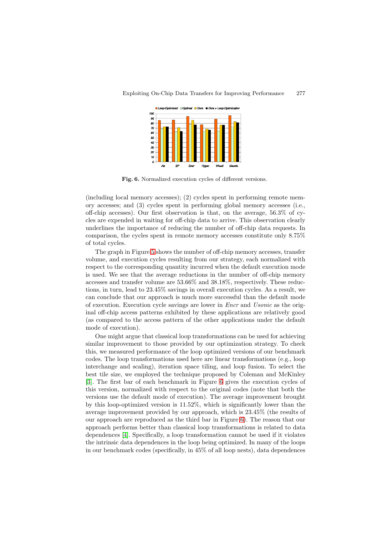<span id="page-6-0"></span>

**Fig. 6.** Normalized execution cycles of different versions.

(including local memory accesses); (2) cycles spent in performing remote memory accesses; and (3) cycles spent in performing global memory accesses (i.e., off-chip accesses). Our first observation is that, on the average, 56.3% of cycles are expended in waiting for off-chip data to arrive. This observation clearly underlines the importance of reducing the number of off-chip data requests. In comparison, the cycles spent in remote memory accesses constitute only 8.75% of total cycles.

The graph in Figure [5](#page-5-0) shows the number of off-chip memory accesses, transfer volume, and execution cycles resulting from our strategy, each normalized with respect to the corresponding quantity incurred when the default execution mode is used. We see that the average reductions in the number of off-chip memory accesses and transfer volume are 53.66% and 38.18%, respectively. These reductions, in turn, lead to 23.45% savings in overall execution cycles. As a result, we can conclude that our approach is much more successful than the default mode of execution. Execution cycle savings are lower in Encr and Usonic as the original off-chip access patterns exhibited by these applications are relatively good (as compared to the access pattern of the other applications under the default mode of execution).

One might argue that classical loop transformations can be used for achieving similar improvement to those provided by our optimization strategy. To check this, we measured performance of the loop optimized versions of our benchmark codes. The loop transformations used here are linear transformations (e.g., loop interchange and scaling), iteration space tiling, and loop fusion. To select the best tile size, we employed the technique proposed by Coleman and McKinley [\[3\]](#page-7-0). The first bar of each benchmark in Figure 6 gives the execution cycles of this version, normalized with respect to the original codes (note that both the versions use the default mode of execution). The average improvement brought by this loop-optimized version is 11.52%, which is significantly lower than the average improvement provided by our approach, which is 23.45% (the results of our approach are reproduced as the third bar in Figure 6). The reason that our approach performs better than classical loop transformations is related to data dependences [\[4\]](#page-7-0). Specifically, a loop transformation cannot be used if it violates the intrinsic data dependences in the loop being optimized. In many of the loops in our benchmark codes (specifically, in 45% of all loop nests), data dependences